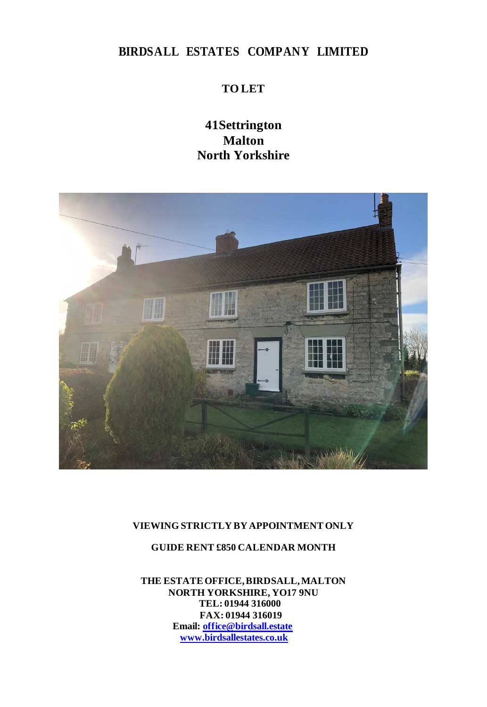# **BIRDSALL ESTATES COMPANY LIMITED**

## **TO LET**

## **41Settrington Malton North Yorkshire**



#### **VIEWING STRICTLY BY APPOINTMENT ONLY**

## **GUIDE RENT £850 CALENDAR MONTH**

**THE ESTATEOFFICE,BIRDSALL,MALTON NORTH YORKSHIRE, YO17 9NU TEL: 01944 316000 FAX: 01944 316019 Email: [office@birdsall.estate](mailto:office@birdsall.estates.co.uk) [www.birdsallestates.co.uk](http://www.birdsallestates.co.uk/)**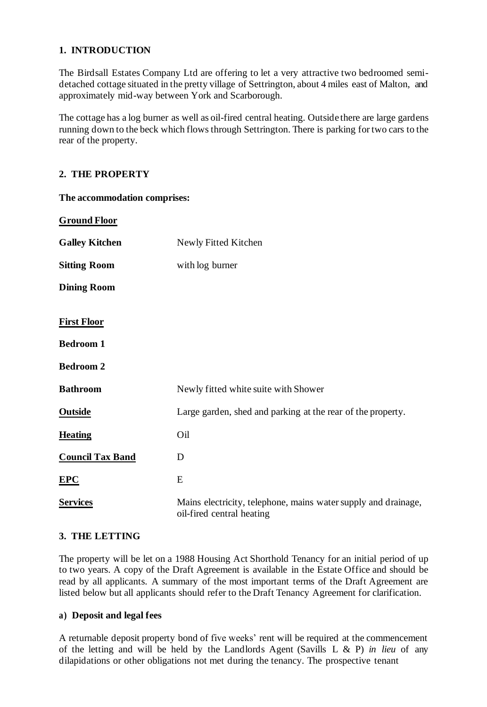### **1. INTRODUCTION**

The Birdsall Estates Company Ltd are offering to let a very attractive two bedroomed semidetached cottage situated in the pretty village of Settrington, about 4 miles east of Malton, and approximately mid-way between York and Scarborough.

The cottage has a log burner as well as oil-fired central heating. Outside there are large gardens running down to the beck which flows through Settrington. There is parking for two cars to the rear of the property.

#### **2. THE PROPERTY**

| <b>Ground Floor</b>                    |                                                                                             |
|----------------------------------------|---------------------------------------------------------------------------------------------|
| <b>Galley Kitchen</b>                  | Newly Fitted Kitchen                                                                        |
| <b>Sitting Room</b>                    | with log burner                                                                             |
| <b>Dining Room</b>                     |                                                                                             |
| <b>First Floor</b><br><b>Bedroom 1</b> |                                                                                             |
| <b>Bedroom 2</b>                       |                                                                                             |
| <b>Bathroom</b>                        | Newly fitted white suite with Shower                                                        |
| <b>Outside</b>                         | Large garden, shed and parking at the rear of the property.                                 |
| <b>Heating</b>                         | Oil                                                                                         |
| <b>Council Tax Band</b>                | D                                                                                           |
| EPC                                    | E                                                                                           |
| <b>Services</b>                        | Mains electricity, telephone, mains water supply and drainage,<br>oil-fired central heating |

## **The accommodation comprises:**

#### **3. THE LETTING**

The property will be let on a 1988 Housing Act Shorthold Tenancy for an initial period of up to two years. A copy of the Draft Agreement is available in the Estate Office and should be read by all applicants. A summary of the most important terms of the Draft Agreement are listed below but all applicants should refer to the Draft Tenancy Agreement for clarification.

#### **a) Deposit and legal fees**

A returnable deposit property bond of five weeks' rent will be required at the commencement of the letting and will be held by the Landlords Agent (Savills L & P) *in lieu* of any dilapidations or other obligations not met during the tenancy. The prospective tenant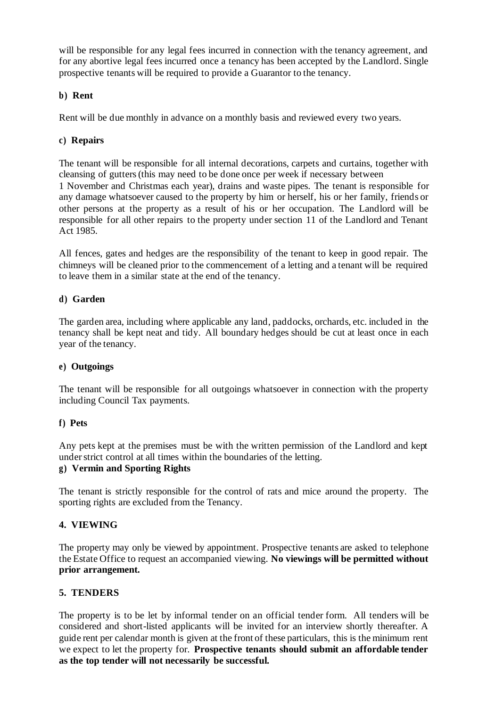will be responsible for any legal fees incurred in connection with the tenancy agreement, and for any abortive legal fees incurred once a tenancy has been accepted by the Landlord. Single prospective tenants will be required to provide a Guarantor to the tenancy.

#### **b) Rent**

Rent will be due monthly in advance on a monthly basis and reviewed every two years.

#### **c) Repairs**

The tenant will be responsible for all internal decorations, carpets and curtains, together with cleansing of gutters (this may need to be done once per week if necessary between 1 November and Christmas each year), drains and waste pipes. The tenant is responsible for any damage whatsoever caused to the property by him or herself, his or her family, friends or other persons at the property as a result of his or her occupation. The Landlord will be responsible for all other repairs to the property under section 11 of the Landlord and Tenant Act 1985.

All fences, gates and hedges are the responsibility of the tenant to keep in good repair. The chimneys will be cleaned prior to the commencement of a letting and a tenant will be required to leave them in a similar state at the end of the tenancy.

#### **d) Garden**

The garden area, including where applicable any land, paddocks, orchards, etc. included in the tenancy shall be kept neat and tidy. All boundary hedges should be cut at least once in each year of the tenancy.

#### **e) Outgoings**

The tenant will be responsible for all outgoings whatsoever in connection with the property including Council Tax payments.

#### **f) Pets**

Any pets kept at the premises must be with the written permission of the Landlord and kept under strict control at all times within the boundaries of the letting.

#### **g) Vermin and Sporting Rights**

The tenant is strictly responsible for the control of rats and mice around the property. The sporting rights are excluded from the Tenancy.

### **4. VIEWING**

The property may only be viewed by appointment. Prospective tenants are asked to telephone the Estate Office to request an accompanied viewing. **No viewings will be permitted without prior arrangement.**

#### **5. TENDERS**

The property is to be let by informal tender on an official tender form. All tenders will be considered and short-listed applicants will be invited for an interview shortly thereafter. A guide rent per calendar month is given at the front of these particulars, this is the minimum rent we expect to let the property for. **Prospective tenants should submit an affordable tender as the top tender will not necessarily be successful.**